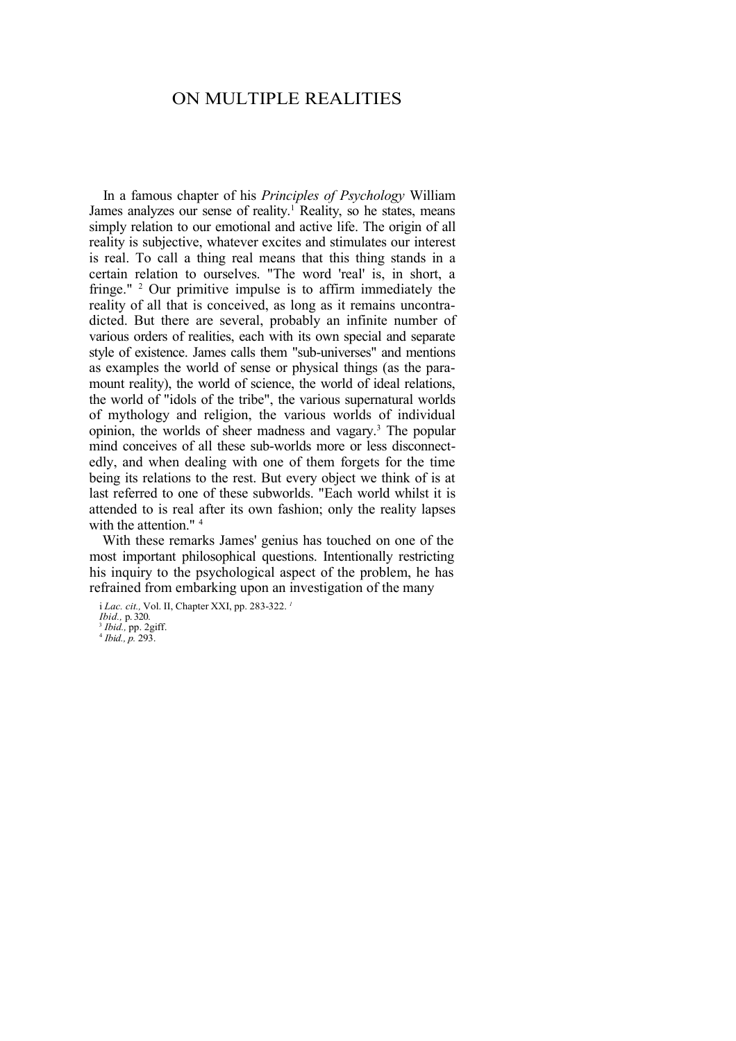# ON MULTIPLE REALITIES

In a famous chapter of his *Principles of Psychology* William James analyzes our sense of reality.<sup>1</sup> Reality, so he states, means simply relation to our emotional and active life. The origin of all reality is subjective, whatever excites and stimulates our interest is real. To call a thing real means that this thing stands in a certain relation to ourselves. "The word 'real' is, in short, a fringe." <sup>2</sup> Our primitive impulse is to affirm immediately the reality of all that is conceived, as long as it remains uncontradicted. But there are several, probably an infinite number of various orders of realities, each with its own special and separate style of existence. James calls them "sub-universes" and mentions as examples the world of sense or physical things (as the paramount reality), the world of science, the world of ideal relations, the world of "idols of the tribe", the various supernatural worlds of mythology and religion, the various worlds of individual opinion, the worlds of sheer madness and vagary. <sup>3</sup> The popular mind conceives of all these sub-worlds more or less disconnectedly, and when dealing with one of them forgets for the time being its relations to the rest. But every object we think of is at last referred to one of these subworlds. "Each world whilst it is attended to is real after its own fashion; only the reality lapses with the attention." 4

With these remarks James' genius has touched on one of the most important philosophical questions. Intentionally restricting his inquiry to the psychological aspect of the problem, he has refrained from embarking upon an investigation of the many

i *Lac. cit.,* Vol. II, Chapter XXI, pp. 283-322. *<sup>1</sup> Ibid.,* p. 320. 3 *Ibid.,* pp. 2giff. 4 *Ibid., p.* 293.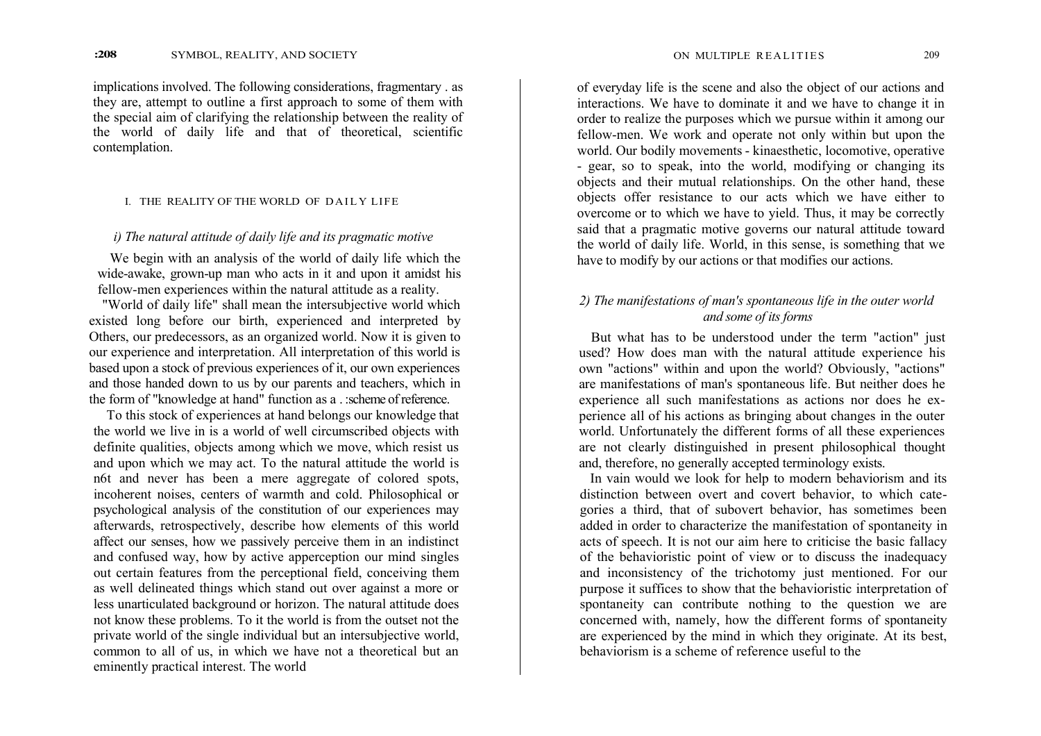implications involved. The following considerations, fragmentary . as they are, attempt to outline a first approach to some of them with the special aim of clarifying the relationship between the reality of the world of daily life and that of theoretical, scientific contemplation.

#### I. THE REALITY OF THE WORLD OF DAIL Y LIFE

### *i) The natural attitude of daily life and its pragmatic motive*

We begin with an analysis of the world of daily life which the wide-awake, grown-up man who acts in it and upon it amidst his fellow-men experiences within the natural attitude as a reality.

"World of daily life" shall mean the intersubjective world which existed long before our birth, experienced and interpreted by Others, our predecessors, as an organized world. Now it is given to our experience and interpretation. All interpretation of this world is based upon a stock of previous experiences of it, our own experiences and those handed down to us by our parents and teachers, which in the form of "knowledge at hand" function as a . : scheme of reference.

To this stock of experiences at hand belongs our knowledge that the world we live in is a world of well circumscribed objects with definite qualities, objects among which we move, which resist us and upon which we may act. To the natural attitude the world is n6t and never has been a mere aggregate of colored spots, incoherent noises, centers of warmth and cold. Philosophical or psychological analysis of the constitution of our experiences may afterwards, retrospectively, describe how elements of this world affect our senses, how we passively perceive them in an indistinct and confused way, how by active apperception our mind singles out certain features from the perceptional field, conceiving them as well delineated things which stand out over against a more or less unarticulated background or horizon. The natural attitude does not know these problems. To it the world is from the outset not the private world of the single individual but an intersubjective world, common to all of us, in which we have not a theoretical but an eminently practical interest. The world

of everyday life is the scene and also the object of our actions and interactions. We have to dominate it and we have to change it in order to realize the purposes which we pursue within it among our fellow-men. We work and operate not only within but upon the world. Our bodily movements - kinaesthetic, locomotive, operative - gear, so to speak, into the world, modifying or changing its objects and their mutual relationships. On the other hand, these objects offer resistance to our acts which we have either to overcome or to which we have to yield. Thus, it may be correctly said that a pragmatic motive governs our natural attitude toward the world of daily life. World, in this sense, is something that we have to modify by our actions or that modifies our actions.

## *2) The manifestations of man's spontaneous life in the outer world and some of its forms*

But what has to be understood under the term "action" just used? How does man with the natural attitude experience his own "actions" within and upon the world? Obviously, "actions" are manifestations of man's spontaneous life. But neither does he experience all such manifestations as actions nor does he experience all of his actions as bringing about changes in the outer world. Unfortunately the different forms of all these experiences are not clearly distinguished in present philosophical thought and, therefore, no generally accepted terminology exists.

In vain would we look for help to modern behaviorism and its distinction between overt and covert behavior, to which categories a third, that of subovert behavior, has sometimes been added in order to characterize the manifestation of spontaneity in acts of speech. It is not our aim here to criticise the basic fallacy of the behavioristic point of view or to discuss the inadequacy and inconsistency of the trichotomy just mentioned. For our purpose it suffices to show that the behavioristic interpretation of spontaneity can contribute nothing to the question we are concerned with, namely, how the different forms of spontaneity are experienced by the mind in which they originate. At its best, behaviorism is a scheme of reference useful to the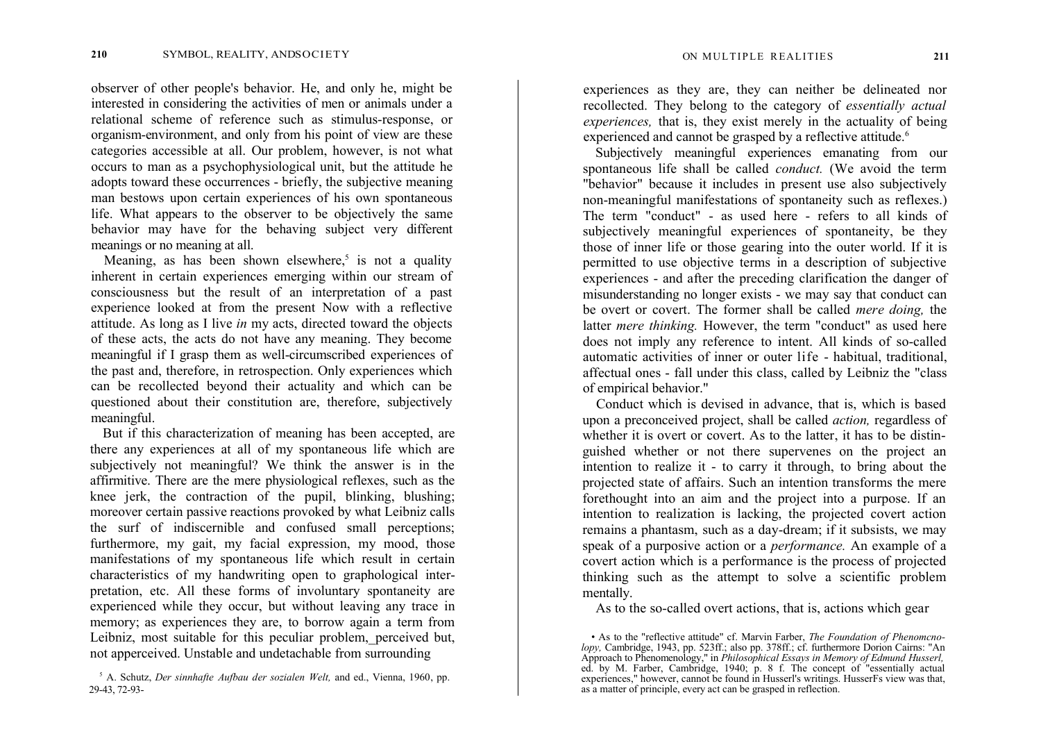observer of other people's behavior. He, and only he, might be interested in considering the activities of men or animals under a relational scheme of reference such as stimulus-response, or organism-environment, and only from his point of view are these categories accessible at all. Our problem, however, is not what occurs to man as a psychophysiological unit, but the attitude he adopts toward these occurrences - briefly, the subjective meaning man bestows upon certain experiences of his own spontaneous life. What appears to the observer to be objectively the same behavior may have for the behaving subject very different meanings or no meaning at all.

Meaning, as has been shown elsewhere,<sup>5</sup> is not a quality inherent in certain experiences emerging within our stream of consciousness but the result of an interpretation of a past experience looked at from the present Now with a reflective attitude. As long as I live *in* my acts, directed toward the objects of these acts, the acts do not have any meaning. They become meaningful if I grasp them as well-circumscribed experiences of the past and, therefore, in retrospection. Only experiences which can be recollected beyond their actuality and which can be questioned about their constitution are, therefore, subjectively meaningful.

But if this characterization of meaning has been accepted, are there any experiences at all of my spontaneous life which are subjectively not meaningful? We think the answer is in the affirmitive. There are the mere physiological reflexes, such as the knee jerk, the contraction of the pupil, blinking, blushing; moreover certain passive reactions provoked by what Leibniz calls the surf of indiscernible and confused small perceptions; furthermore, my gait, my facial expression, my mood, those manifestations of my spontaneous life which result in certain characteristics of my handwriting open to graphological interpretation, etc. All these forms of involuntary spontaneity are experienced while they occur, but without leaving any trace in memory; as experiences they are, to borrow again a term from Leibniz, most suitable for this peculiar problem, perceived but, not apperceived. Unstable and undetachable from surrounding

<sup>5</sup> A. Schutz, *Der sinnhafte Aufbau der sozialen Welt,* and ed., Vienna, 1960, pp. 29-43, 72-93experiences as they are, they can neither be delineated nor recollected. They belong to the category of *essentially actual experiences,* that is, they exist merely in the actuality of being experienced and cannot be grasped by a reflective attitude.<sup>6</sup>

Subjectively meaningful experiences emanating from our spontaneous life shall be called *conduct.* (We avoid the term "behavior" because it includes in present use also subjectively non-meaningful manifestations of spontaneity such as reflexes.) The term "conduct" - as used here - refers to all kinds of subjectively meaningful experiences of spontaneity, be they those of inner life or those gearing into the outer world. If it is permitted to use objective terms in a description of subjective experiences - and after the preceding clarification the danger of misunderstanding no longer exists - we may say that conduct can be overt or covert. The former shall be called *mere doing,* the latter *mere thinking.* However, the term "conduct" as used here does not imply any reference to intent. All kinds of so-called automatic activities of inner or outer life - habitual, traditional, affectual ones - fall under this class, called by Leibniz the "class of empirical behavior."

Conduct which is devised in advance, that is, which is based upon a preconceived project, shall be called *action,* regardless of whether it is overt or covert. As to the latter, it has to be distinguished whether or not there supervenes on the project an intention to realize it - to carry it through, to bring about the projected state of affairs. Such an intention transforms the mere forethought into an aim and the project into a purpose. If an intention to realization is lacking, the projected covert action remains a phantasm, such as a day-dream; if it subsists, we may speak of a purposive action or a *performance.* An example of a covert action which is a performance is the process of projected thinking such as the attempt to solve a scientific problem mentally.

As to the so-called overt actions, that is, actions which gear

• As to the "reflective attitude" cf. Marvin Farber, *The Foundation of Phenomcnolopy,* Cambridge, 1943, pp. 523ff.; also pp. 378ff.; cf. furthermore Dorion Cairns: "An Approach to Phenomenology," in *Philosophical Essays in Memory of Edmund Husserl,* ed. by M. Farber, Cambridge, 1940; p. 8 f. The concept of "essentially actual experiences," however, cannot be found in Husserl's writings. HusserFs view was that, as a matter of principle, every act can be grasped in reflection.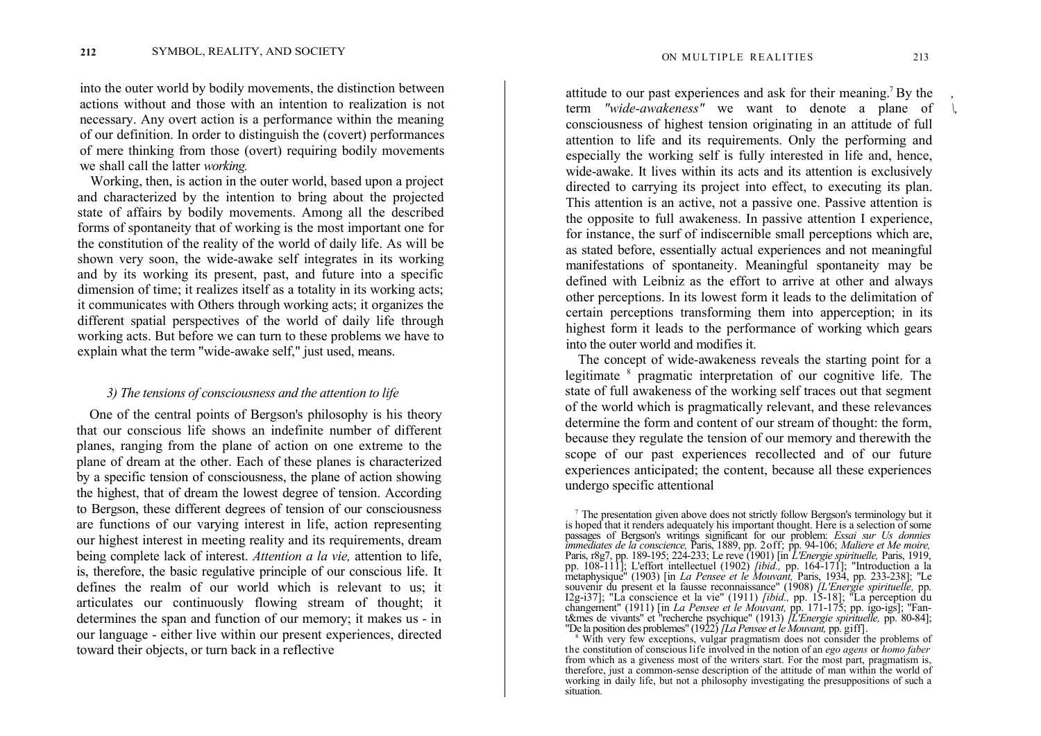into the outer world by bodily movements, the distinction between actions without and those with an intention to realization is not necessary. Any overt action is a performance within the meaning of our definition. In order to distinguish the (covert) performances of mere thinking from those (overt) requiring bodily movements we shall call the latter *working.*

Working, then, is action in the outer world, based upon a project and characterized by the intention to bring about the projected state of affairs by bodily movements. Among all the described forms of spontaneity that of working is the most important one for the constitution of the reality of the world of daily life. As will be shown very soon, the wide-awake self integrates in its working and by its working its present, past, and future into a specific dimension of time; it realizes itself as a totality in its working acts; it communicates with Others through working acts; it organizes the different spatial perspectives of the world of daily life through working acts. But before we can turn to these problems we have to explain what the term "wide-awake self," just used, means.

#### *3) The tensions of consciousness and the attention to life*

One of the central points of Bergson's philosophy is his theory that our conscious life shows an indefinite number of different planes, ranging from the plane of action on one extreme to the plane of dream at the other. Each of these planes is characterized by a specific tension of consciousness, the plane of action showing the highest, that of dream the lowest degree of tension. According to Bergson, these different degrees of tension of our consciousness are functions of our varying interest in life, action representing our highest interest in meeting reality and its requirements, dream being complete lack of interest. *Attention a la vie,* attention to life, is, therefore, the basic regulative principle of our conscious life. It defines the realm of our world which is relevant to us; it articulates our continuously flowing stream of thought; it determines the span and function of our memory; it makes us - in our language - either live within our present experiences, directed toward their objects, or turn back in a reflective

attitude to our past experiences and ask for their meaning.<sup>7</sup> By the term *"wide-awakeness"* we want to denote a plane of consciousness of highest tension originating in an attitude of full attention to life and its requirements. Only the performing and especially the working self is fully interested in life and, hence, wide-awake. It lives within its acts and its attention is exclusively directed to carrying its project into effect, to executing its plan. This attention is an active, not a passive one. Passive attention is the opposite to full awakeness. In passive attention I experience, for instance, the surf of indiscernible small perceptions which are, as stated before, essentially actual experiences and not meaningful manifestations of spontaneity. Meaningful spontaneity may be defined with Leibniz as the effort to arrive at other and always other perceptions. In its lowest form it leads to the delimitation of certain perceptions transforming them into apperception; in its highest form it leads to the performance of working which gears into the outer world and modifies it.

The concept of wide-awakeness reveals the starting point for a legitimate <sup>8</sup> pragmatic interpretation of our cognitive life. The state of full awakeness of the working self traces out that segment of the world which is pragmatically relevant, and these relevances determine the form and content of our stream of thought: the form, because they regulate the tension of our memory and therewith the scope of our past experiences recollected and of our future experiences anticipated; the content, because all these experiences undergo specific attentional

 $7$  The presentation given above does not strictly follow Bergson's terminology but it is hoped that it renders adequately his important thought. Here is a selection of some passages of Bergson's writings significant for our problem: *Essai sur Us donnies immediates de la conscience,* Paris, 1889, pp. 2off; pp. 94-106; *Maliere et Me moire,* Paris, r8g7, pp. 189-195; 224-233; Le reve (1901) [in *L'Energie spirituelle,* Paris, 1919, pp. 108-111]; L'effort intellectuel (1902) *[ibid.,* pp. 164-171]; "Introduction a la metaphysique" (1903) [in *La Pensee et le Mouvant,* Paris, 1934, pp. 233-238]; "Le souvenir du present et la fausse reconnaissance" (1908) *[L'Energie spirituelle,* pp. I2g-i37]; "La conscience et la vie" (1911) *[ibid.,* pp. 15-18]; "La perception du changement" (1911) [in *La Pensee et le Mouvant,* pp. 171-175; pp. igo-igs]; "Fant&mes de vivants" et "recherche psychique" (1913) *[L'Energie spirituelle,* pp. 80-84]; "De la position des problemes" (1922) *[La Pensee et le Mouvant,* pp. giff].

<sup>8</sup> With very few exceptions, vulgar pragmatism does not consider the problems of the constitution of conscious life involved in the notion of an *ego agens* or *homo faber* from which as a giveness most of the writers start. For the most part, pragmatism is, therefore, just a common-sense description of the attitude of man within the world of working in daily life, but not a philosophy investigating the presuppositions of such a situation.

*, \,*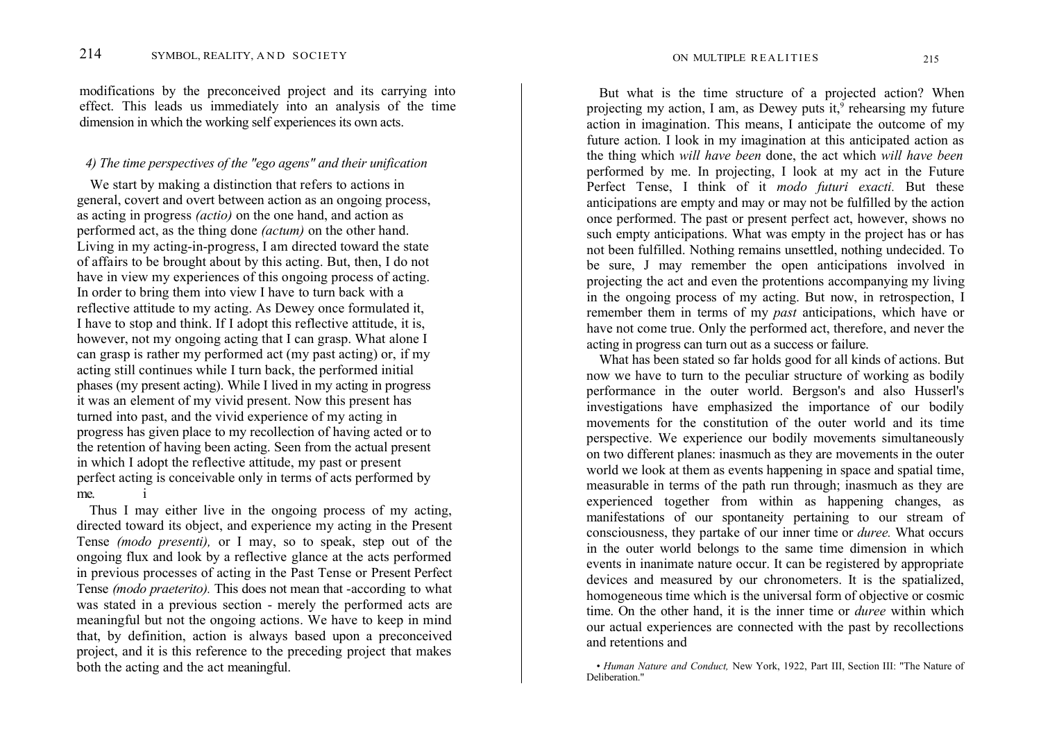modifications by the preconceived project and its carrying into effect. This leads us immediately into an analysis of the time dimension in which the working self experiences its own acts.

### *4) The time perspectives of the "ego agens" and their unification*

We start by making a distinction that refers to actions in general, covert and overt between action as an ongoing process, as acting in progress *(actio)* on the one hand, and action as performed act, as the thing done *(actum)* on the other hand. Living in my acting-in-progress, I am directed toward the state of affairs to be brought about by this acting. But, then, I do not have in view my experiences of this ongoing process of acting. In order to bring them into view I have to turn back with a reflective attitude to my acting. As Dewey once formulated it, I have to stop and think. If I adopt this reflective attitude, it is, however, not my ongoing acting that I can grasp. What alone I can grasp is rather my performed act (my past acting) or, if my acting still continues while I turn back, the performed initial phases (my present acting). While I lived in my acting in progress it was an element of my vivid present. Now this present has turned into past, and the vivid experience of my acting in progress has given place to my recollection of having acted or to the retention of having been acting. Seen from the actual present in which I adopt the reflective attitude, my past or present perfect acting is conceivable only in terms of acts performed by me.

Thus I may either live in the ongoing process of my acting, directed toward its object, and experience my acting in the Present Tense *(modo presenti),* or I may, so to speak, step out of the ongoing flux and look by a reflective glance at the acts performed in previous processes of acting in the Past Tense or Present Perfect Tense *(modo praeterito).* This does not mean that -according to what was stated in a previous section - merely the performed acts are meaningful but not the ongoing actions. We have to keep in mind that, by definition, action is always based upon a preconceived project, and it is this reference to the preceding project that makes both the acting and the act meaningful.

But what is the time structure of a projected action? When projecting my action, I am, as Dewey puts it, $9$  rehearsing my future action in imagination. This means, I anticipate the outcome of my future action. I look in my imagination at this anticipated action as the thing which *will have been* done, the act which *will have been* performed by me. In projecting, I look at my act in the Future Perfect Tense, I think of it *modo futuri exacti.* But these anticipations are empty and may or may not be fulfilled by the action once performed. The past or present perfect act, however, shows no such empty anticipations. What was empty in the project has or has not been fulfilled. Nothing remains unsettled, nothing undecided. To be sure, J may remember the open anticipations involved in projecting the act and even the protentions accompanying my living in the ongoing process of my acting. But now, in retrospection, I remember them in terms of my *past* anticipations, which have or have not come true. Only the performed act, therefore, and never the acting in progress can turn out as a success or failure.

What has been stated so far holds good for all kinds of actions. But now we have to turn to the peculiar structure of working as bodily performance in the outer world. Bergson's and also Husserl's investigations have emphasized the importance of our bodily movements for the constitution of the outer world and its time perspective. We experience our bodily movements simultaneously on two different planes: inasmuch as they are movements in the outer world we look at them as events happening in space and spatial time, measurable in terms of the path run through; inasmuch as they are experienced together from within as happening changes, as manifestations of our spontaneity pertaining to our stream of consciousness, they partake of our inner time or *duree.* What occurs in the outer world belongs to the same time dimension in which events in inanimate nature occur. It can be registered by appropriate devices and measured by our chronometers. It is the spatialized, homogeneous time which is the universal form of objective or cosmic time. On the other hand, it is the inner time or *duree* within which our actual experiences are connected with the past by recollections and retentions and

<sup>•</sup> *Human Nature and Conduct,* New York, 1922, Part III, Section III: "The Nature of Deliberation."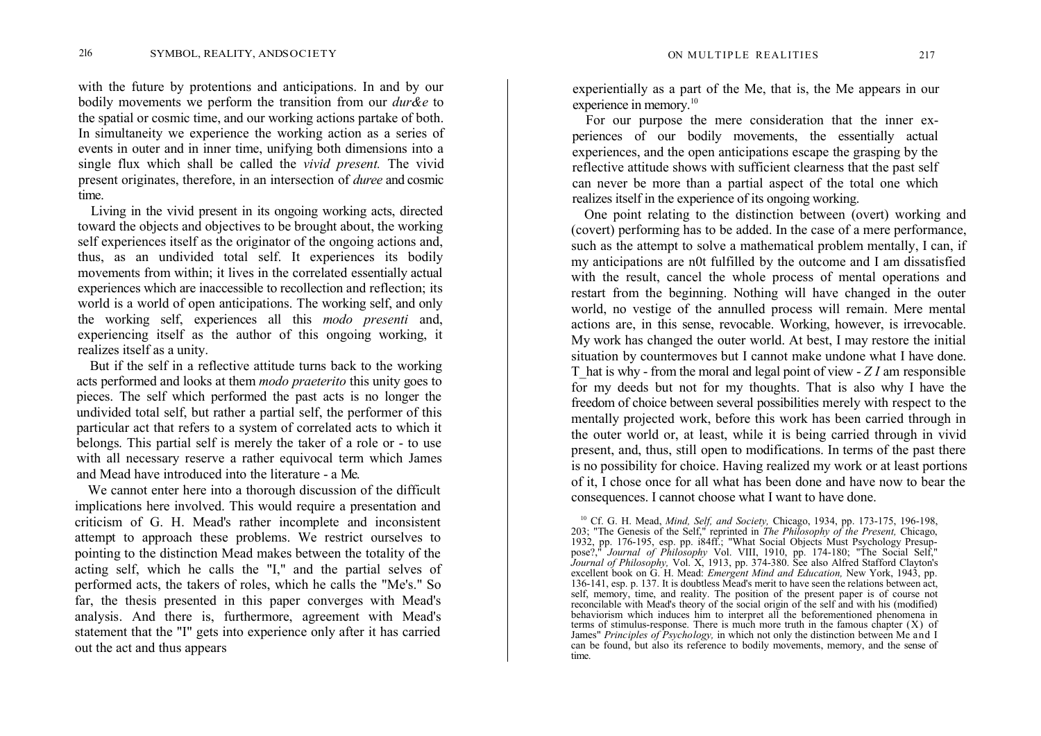with the future by protentions and anticipations. In and by our bodily movements we perform the transition from our *dur&e* to the spatial or cosmic time, and our working actions partake of both. In simultaneity we experience the working action as a series of events in outer and in inner time, unifying both dimensions into a single flux which shall be called the *vivid present.* The vivid present originates, therefore, in an intersection of *duree* and cosmic time.

Living in the vivid present in its ongoing working acts, directed toward the objects and objectives to be brought about, the working self experiences itself as the originator of the ongoing actions and, thus, as an undivided total self. It experiences its bodily movements from within; it lives in the correlated essentially actual experiences which are inaccessible to recollection and reflection; its world is a world of open anticipations. The working self, and only the working self, experiences all this *modo presenti* and, experiencing itself as the author of this ongoing working, it realizes itself as a unity.

But if the self in a reflective attitude turns back to the working acts performed and looks at them *modo praeterito* this unity goes to pieces. The self which performed the past acts is no longer the undivided total self, but rather a partial self, the performer of this particular act that refers to a system of correlated acts to which it belongs. This partial self is merely the taker of a role or - to use with all necessary reserve a rather equivocal term which James and Mead have introduced into the literature - a Me.

We cannot enter here into a thorough discussion of the difficult implications here involved. This would require a presentation and criticism of G. H. Mead's rather incomplete and inconsistent attempt to approach these problems. We restrict ourselves to pointing to the distinction Mead makes between the totality of the acting self, which he calls the "I," and the partial selves of performed acts, the takers of roles, which he calls the "Me's." So far, the thesis presented in this paper converges with Mead's analysis. And there is, furthermore, agreement with Mead's statement that the "I" gets into experience only after it has carried out the act and thus appears

experientially as a part of the Me, that is, the Me appears in our experience in memory.<sup>10</sup>

For our purpose the mere consideration that the inner experiences of our bodily movements, the essentially actual experiences, and the open anticipations escape the grasping by the reflective attitude shows with sufficient clearness that the past self can never be more than a partial aspect of the total one which realizes itself in the experience of its ongoing working.

One point relating to the distinction between (overt) working and (covert) performing has to be added. In the case of a mere performance, such as the attempt to solve a mathematical problem mentally, I can, if my anticipations are n0t fulfilled by the outcome and I am dissatisfied with the result, cancel the whole process of mental operations and restart from the beginning. Nothing will have changed in the outer world, no vestige of the annulled process will remain. Mere mental actions are, in this sense, revocable. Working, however, is irrevocable. My work has changed the outer world. At best, I may restore the initial situation by countermoves but I cannot make undone what I have done. T hat is why - from the moral and legal point of view  $- Z I$  am responsible for my deeds but not for my thoughts. That is also why I have the freedom of choice between several possibilities merely with respect to the mentally projected work, before this work has been carried through in the outer world or, at least, while it is being carried through in vivid present, and, thus, still open to modifications. In terms of the past there is no possibility for choice. Having realized my work or at least portions of it, I chose once for all what has been done and have now to bear the consequences. I cannot choose what I want to have done.

<sup>10</sup> Cf. G. H. Mead, *Mind, Self, and Society,* Chicago, 1934, pp. 173-175, 196-198, 203; "The Genesis of the Self," reprinted in *The Philosophy of the Present,* Chicago, 1932, pp. 176-195, esp. pp. i84ff.; "What Social Objects Must Psychology Presuppose?," *Journal of Philosophy* Vol. VIII, 1910, pp. 174-180; "The Social Self," *Journal of Philosophy,* Vol. X, 1913, pp. 374-380. See also Alfred Stafford Clayton's excellent book on G. H. Mead: *Emergent Mind and Education,* New York, 1943, pp. 136-141, esp. p. 137. It is doubtless Mead's merit to have seen the relations between act, self, memory, time, and reality. The position of the present paper is of course not reconcilable with Mead's theory of the social origin of the self and with his (modified) behaviorism which induces him to interpret all the beforementioned phenomena in terms of stimulus-response. There is much more truth in the famous chapter  $(X)$  of James" *Principles of Psychology,* in which not only the distinction between Me and I can be found, but also its reference to bodily movements, memory, and the sense of time.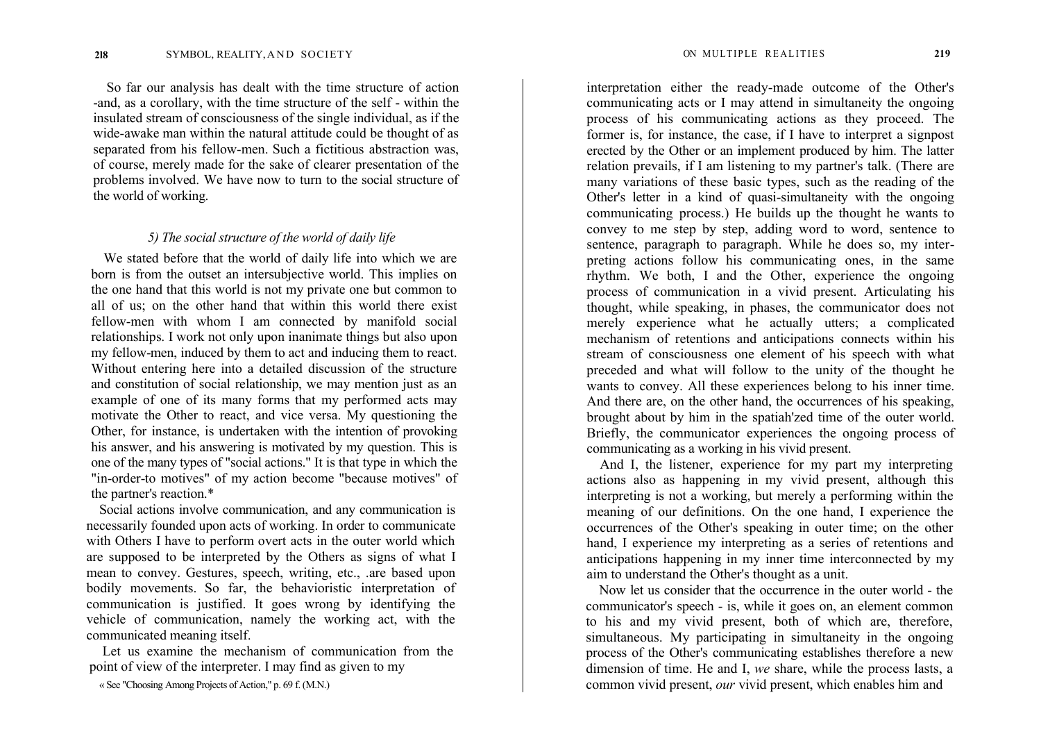So far our analysis has dealt with the time structure of action -and, as a corollary, with the time structure of the self - within the insulated stream of consciousness of the single individual, as if the wide-awake man within the natural attitude could be thought of as separated from his fellow-men. Such a fictitious abstraction was, of course, merely made for the sake of clearer presentation of the problems involved. We have now to turn to the social structure of the world of working.

### *5) The social structure of the world of daily life*

We stated before that the world of daily life into which we are born is from the outset an intersubjective world. This implies on the one hand that this world is not my private one but common to all of us; on the other hand that within this world there exist fellow-men with whom I am connected by manifold social relationships. I work not only upon inanimate things but also upon my fellow-men, induced by them to act and inducing them to react. Without entering here into a detailed discussion of the structure and constitution of social relationship, we may mention just as an example of one of its many forms that my performed acts may motivate the Other to react, and vice versa. My questioning the Other, for instance, is undertaken with the intention of provoking his answer, and his answering is motivated by my question. This is one of the many types of "social actions." It is that type in which the "in-order-to motives" of my action become "because motives" of the partner's reaction.\*

Social actions involve communication, and any communication is necessarily founded upon acts of working. In order to communicate with Others I have to perform overt acts in the outer world which are supposed to be interpreted by the Others as signs of what I mean to convey. Gestures, speech, writing, etc., .are based upon bodily movements. So far, the behavioristic interpretation of communication is justified. It goes wrong by identifying the vehicle of communication, namely the working act, with the communicated meaning itself.

Let us examine the mechanism of communication from the point of view of the interpreter. I may find as given to my

« See "Choosing Among Projects of Action," p. 69 f. (M.N.)

interpretation either the ready-made outcome of the Other's communicating acts or I may attend in simultaneity the ongoing process of his communicating actions as they proceed. The former is, for instance, the case, if I have to interpret a signpost erected by the Other or an implement produced by him. The latter relation prevails, if I am listening to my partner's talk. (There are many variations of these basic types, such as the reading of the Other's letter in a kind of quasi-simultaneity with the ongoing communicating process.) He builds up the thought he wants to convey to me step by step, adding word to word, sentence to sentence, paragraph to paragraph. While he does so, my interpreting actions follow his communicating ones, in the same rhythm. We both, I and the Other, experience the ongoing process of communication in a vivid present. Articulating his thought, while speaking, in phases, the communicator does not merely experience what he actually utters; a complicated mechanism of retentions and anticipations connects within his stream of consciousness one element of his speech with what preceded and what will follow to the unity of the thought he wants to convey. All these experiences belong to his inner time. And there are, on the other hand, the occurrences of his speaking, brought about by him in the spatiah'zed time of the outer world. Briefly, the communicator experiences the ongoing process of communicating as a working in his vivid present.

And I, the listener, experience for my part my interpreting actions also as happening in my vivid present, although this interpreting is not a working, but merely a performing within the meaning of our definitions. On the one hand, I experience the occurrences of the Other's speaking in outer time; on the other hand, I experience my interpreting as a series of retentions and anticipations happening in my inner time interconnected by my aim to understand the Other's thought as a unit.

Now let us consider that the occurrence in the outer world - the communicator's speech - is, while it goes on, an element common to his and my vivid present, both of which are, therefore, simultaneous. My participating in simultaneity in the ongoing process of the Other's communicating establishes therefore a new dimension of time. He and I, *we* share, while the process lasts, a common vivid present, *our* vivid present, which enables him and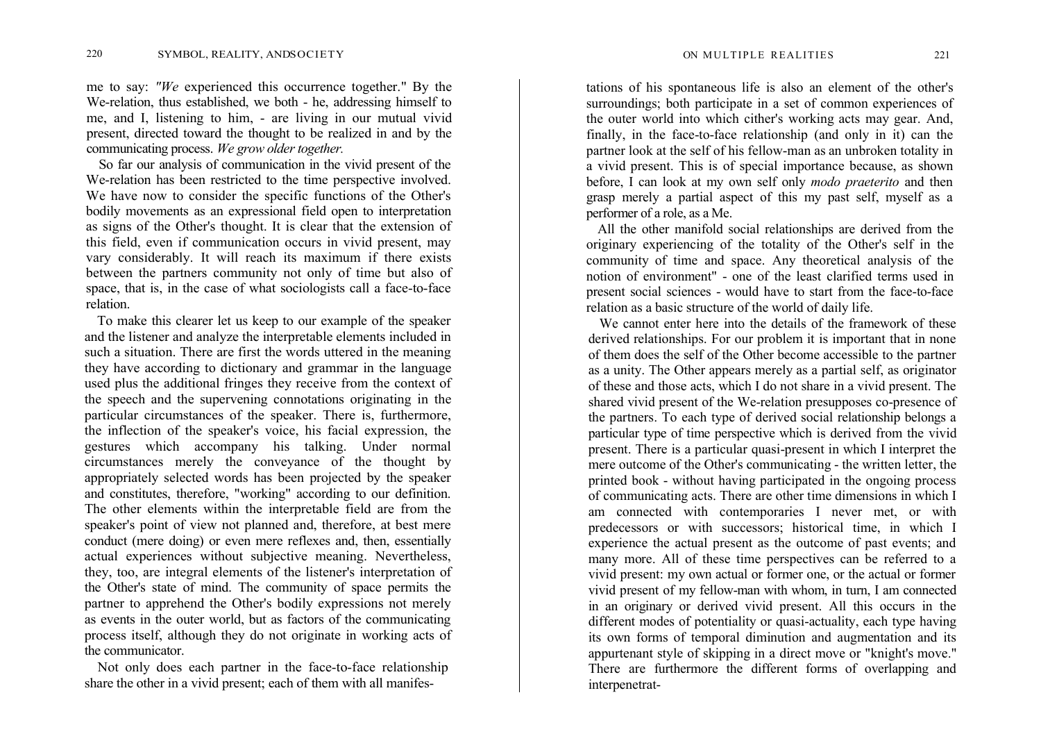me to say: *"We* experienced this occurrence together." By the We-relation, thus established, we both - he, addressing himself to me, and I, listening to him, - are living in our mutual vivid present, directed toward the thought to be realized in and by the communicating process. We grow older together.

So far our analysis of communication in the vivid present of the We-relation has been restricted to the time perspective involved. We have now to consider the specific functions of the Other's bodily movements as an expressional field open to interpretation as signs of the Other's thought. It is clear that the extension of this field, even if communication occurs in vivid present, may vary considerably. It will reach its maximum if there exists between the partners community not only of time but also of space, that is, in the case of what sociologists call a face-to-face relation.

To make this clearer let us keep to our example of the speaker and the listener and analyze the interpretable elements included in such a situation. There are first the words uttered in the meaning they have according to dictionary and grammar in the language used plus the additional fringes they receive from the context of the speech and the supervening connotations originating in the particular circumstances of the speaker. There is, furthermore, the inflection of the speaker's voice, his facial expression, the gestures which accompany his talking. Under normal circumstances merely the conveyance of the thought by appropriately selected words has been projected by the speaker and constitutes, therefore, "working" according to our definition. The other elements within the interpretable field are from the speaker's point of view not planned and, therefore, at best mere conduct (mere doing) or even mere reflexes and, then, essentially actual experiences without subjective meaning. Nevertheless, they, too, are integral elements of the listener's interpretation of the Other's state of mind. The community of space permits the partner to apprehend the Other's bodily expressions not merely as events in the outer world, but as factors of the communicating process itself, although they do not originate in working acts of the communicator.

Not only does each partner in the face-to-face relationship share the other in a vivid present; each of them with all manifestations of his spontaneous life is also an element of the other's surroundings; both participate in a set of common experiences of the outer world into which cither's working acts may gear. And, finally, in the face-to-face relationship (and only in it) can the partner look at the self of his fellow-man as an unbroken totality in a vivid present. This is of special importance because, as shown before, I can look at my own self only *modo praeterito* and then grasp merely a partial aspect of this my past self, myself as a performer of a role, as a Me.

All the other manifold social relationships are derived from the originary experiencing of the totality of the Other's self in the community of time and space. Any theoretical analysis of the notion of environment" - one of the least clarified terms used in present social sciences - would have to start from the face-to-face relation as a basic structure of the world of daily life.

We cannot enter here into the details of the framework of these derived relationships. For our problem it is important that in none of them does the self of the Other become accessible to the partner as a unity. The Other appears merely as a partial self, as originator of these and those acts, which I do not share in a vivid present. The shared vivid present of the We-relation presupposes co-presence of the partners. To each type of derived social relationship belongs a particular type of time perspective which is derived from the vivid present. There is a particular quasi-present in which I interpret the mere outcome of the Other's communicating - the written letter, the printed book - without having participated in the ongoing process of communicating acts. There are other time dimensions in which I am connected with contemporaries I never met, or with predecessors or with successors; historical time, in which I experience the actual present as the outcome of past events; and many more. All of these time perspectives can be referred to a vivid present: my own actual or former one, or the actual or former vivid present of my fellow-man with whom, in turn, I am connected in an originary or derived vivid present. All this occurs in the different modes of potentiality or quasi-actuality, each type having its own forms of temporal diminution and augmentation and its appurtenant style of skipping in a direct move or "knight's move." There are furthermore the different forms of overlapping and interpenetrat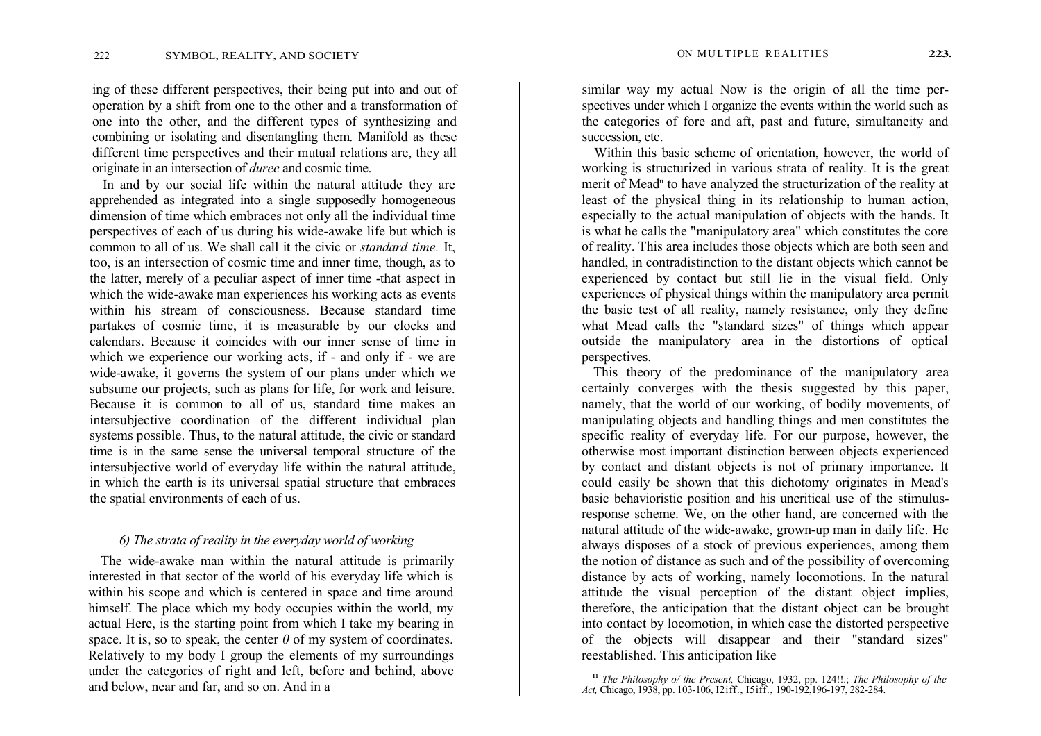ing of these different perspectives, their being put into and out of operation by a shift from one to the other and a transformation of one into the other, and the different types of synthesizing and combining or isolating and disentangling them. Manifold as these different time perspectives and their mutual relations are, they all originate in an intersection of *duree* and cosmic time.

In and by our social life within the natural attitude they are apprehended as integrated into a single supposedly homogeneous dimension of time which embraces not only all the individual time perspectives of each of us during his wide-awake life but which is common to all of us. We shall call it the civic or *standard time.* It, too, is an intersection of cosmic time and inner time, though, as to the latter, merely of a peculiar aspect of inner time -that aspect in which the wide-awake man experiences his working acts as events within his stream of consciousness. Because standard time partakes of cosmic time, it is measurable by our clocks and calendars. Because it coincides with our inner sense of time in which we experience our working acts, if - and only if - we are wide-awake, it governs the system of our plans under which we subsume our projects, such as plans for life, for work and leisure. Because it is common to all of us, standard time makes an intersubjective coordination of the different individual plan systems possible. Thus, to the natural attitude, the civic or standard time is in the same sense the universal temporal structure of the intersubjective world of everyday life within the natural attitude, in which the earth is its universal spatial structure that embraces the spatial environments of each of us.

### *6) The strata of reality in the everyday world of working*

The wide-awake man within the natural attitude is primarily interested in that sector of the world of his everyday life which is within his scope and which is centered in space and time around himself. The place which my body occupies within the world, my actual Here, is the starting point from which I take my bearing in space. It is, so to speak, the center  $\theta$  of my system of coordinates. Relatively to my body I group the elements of my surroundings under the categories of right and left, before and behind, above and below, near and far, and so on. And in a

similar way my actual Now is the origin of all the time perspectives under which I organize the events within the world such as the categories of fore and aft, past and future, simultaneity and succession, etc.

Within this basic scheme of orientation, however, the world of working is structurized in various strata of reality. It is the great merit of Mead<sup>u</sup> to have analyzed the structurization of the reality at least of the physical thing in its relationship to human action, especially to the actual manipulation of objects with the hands. It is what he calls the "manipulatory area" which constitutes the core of reality. This area includes those objects which are both seen and handled, in contradistinction to the distant objects which cannot be experienced by contact but still lie in the visual field. Only experiences of physical things within the manipulatory area permit the basic test of all reality, namely resistance, only they define what Mead calls the "standard sizes" of things which appear outside the manipulatory area in the distortions of optical perspectives.

This theory of the predominance of the manipulatory area certainly converges with the thesis suggested by this paper, namely, that the world of our working, of bodily movements, of manipulating objects and handling things and men constitutes the specific reality of everyday life. For our purpose, however, the otherwise most important distinction between objects experienced by contact and distant objects is not of primary importance. It could easily be shown that this dichotomy originates in Mead's basic behavioristic position and his uncritical use of the stimulusresponse scheme. We, on the other hand, are concerned with the natural attitude of the wide-awake, grown-up man in daily life. He always disposes of a stock of previous experiences, among them the notion of distance as such and of the possibility of overcoming distance by acts of working, namely locomotions. In the natural attitude the visual perception of the distant object implies, therefore, the anticipation that the distant object can be brought into contact by locomotion, in which case the distorted perspective of the objects will disappear and their "standard sizes" reestablished. This anticipation like

**<sup>11</sup>** *The Philosophy o/ the Present,* Chicago, 1932, pp. 124!!.; *The Philosophy of the Act,* Chicago, 1938, pp. 103-106, I2iff., I5iff., 190-192,196-197, 282-284.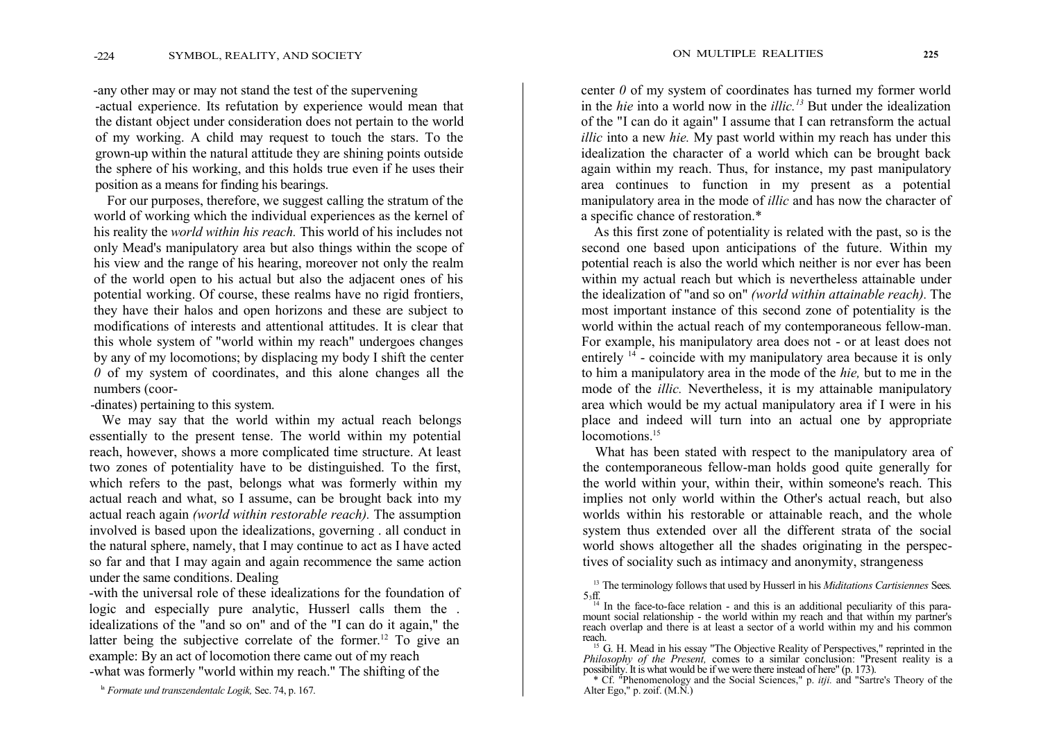-any other may or may not stand the test of the supervening -actual experience. Its refutation by experience would mean that the distant object under consideration does not pertain to the world of my working. A child may request to touch the stars. To the grown-up within the natural attitude they are shining points outside the sphere of his working, and this holds true even if he uses their position as a means for finding his bearings.

For our purposes, therefore, we suggest calling the stratum of the world of working which the individual experiences as the kernel of his reality the *world within his reach.* This world of his includes not only Mead's manipulatory area but also things within the scope of his view and the range of his hearing, moreover not only the realm of the world open to his actual but also the adjacent ones of his potential working. Of course, these realms have no rigid frontiers, they have their halos and open horizons and these are subject to modifications of interests and attentional attitudes. It is clear that this whole system of "world within my reach" undergoes changes by any of my locomotions; by displacing my body I shift the center *0* of my system of coordinates, and this alone changes all the numbers (coor-

-dinates) pertaining to this system.

We may say that the world within my actual reach belongs essentially to the present tense. The world within my potential reach, however, shows a more complicated time structure. At least two zones of potentiality have to be distinguished. To the first, which refers to the past, belongs what was formerly within my actual reach and what, so I assume, can be brought back into my actual reach again *(world within restorable reach).* The assumption involved is based upon the idealizations, governing . all conduct in the natural sphere, namely, that I may continue to act as I have acted so far and that I may again and again recommence the same action under the same conditions. Dealing

-with the universal role of these idealizations for the foundation of logic and especially pure analytic, Husserl calls them the . idealizations of the "and so on" and of the "I can do it again," the latter being the subjective correlate of the former.<sup>12</sup> To give an example: By an act of locomotion there came out of my reach -what was formerly "world within my reach." The shifting of the

center *0* of my system of coordinates has turned my former world in the *hie* into a world now in the *illic.<sup>13</sup>* But under the idealization of the "I can do it again" I assume that I can retransform the actual *illic* into a new *hie.* My past world within my reach has under this idealization the character of a world which can be brought back again within my reach. Thus, for instance, my past manipulatory area continues to function in my present as a potential manipulatory area in the mode of *illic* and has now the character of a specific chance of restoration.\*

As this first zone of potentiality is related with the past, so is the second one based upon anticipations of the future. Within my potential reach is also the world which neither is nor ever has been within my actual reach but which is nevertheless attainable under the idealization of "and so on" *(world within attainable reach).* The most important instance of this second zone of potentiality is the world within the actual reach of my contemporaneous fellow-man. For example, his manipulatory area does not - or at least does not entirely <sup>14</sup> - coincide with my manipulatory area because it is only to him a manipulatory area in the mode of the *hie,* but to me in the mode of the *illic.* Nevertheless, it is my attainable manipulatory area which would be my actual manipulatory area if I were in his place and indeed will turn into an actual one by appropriate locomotions.<sup>15</sup>

What has been stated with respect to the manipulatory area of the contemporaneous fellow-man holds good quite generally for the world within your, within their, within someone's reach. This implies not only world within the Other's actual reach, but also worlds within his restorable or attainable reach, and the whole system thus extended over all the different strata of the social world shows altogether all the shades originating in the perspectives of sociality such as intimacy and anonymity, strangeness

<sup>13</sup> The terminology follows that used by Husserl in his *Miditations Cartisiennes* Sees.  $5_3$ ff.

\* Cf. "Phenomenology and the Social Sciences," p. *itji.* and "Sartre's Theory of the Alter Ego," p. zoif. (M.N.)

la *Formate und transzendentalc Logik,* Sec. 74, p. 167.

<sup>&</sup>lt;sup>14</sup> In the face-to-face relation - and this is an additional peculiarity of this paramount social relationship - the world within my reach and that within my partner's reach overlap and there is at least a sector of a world within my and his common reach.

<sup>&</sup>lt;sup>15</sup> G. H. Mead in his essay "The Objective Reality of Perspectives," reprinted in the *Philosophy of the Present,* comes to a similar conclusion: "Present reality is a possibility. It is what would be if we were there instead of here" (p. 173).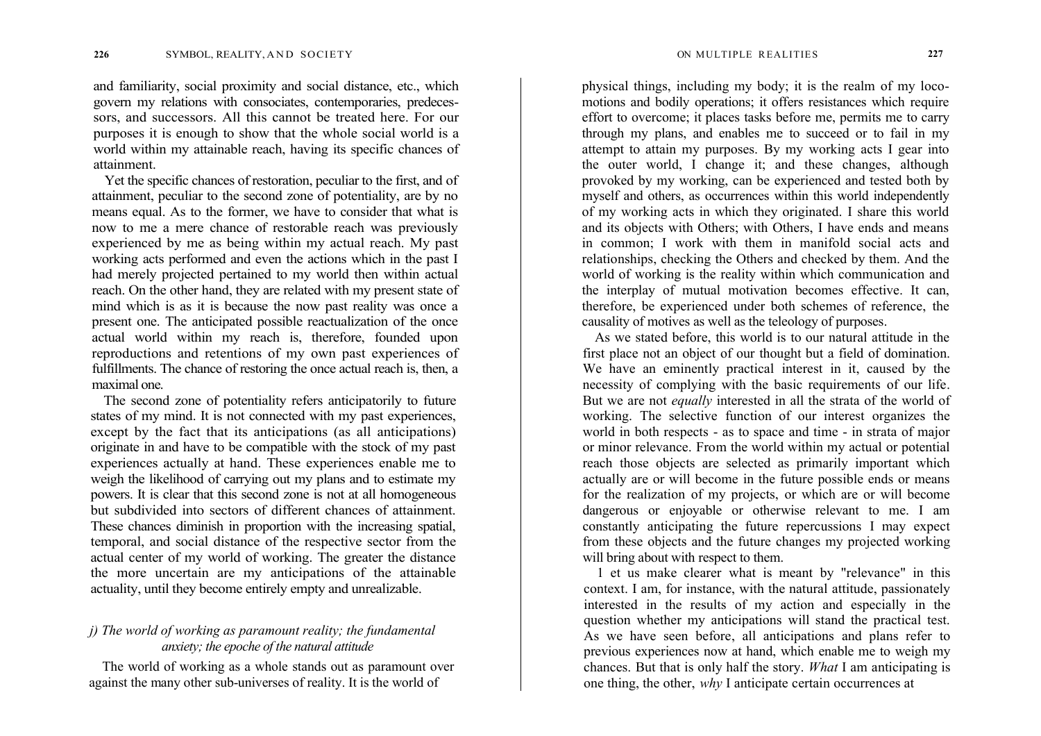and familiarity, social proximity and social distance, etc., which govern my relations with consociates, contemporaries, predecessors, and successors. All this cannot be treated here. For our purposes it is enough to show that the whole social world is a world within my attainable reach, having its specific chances of attainment.

Yet the specific chances of restoration, peculiar to the first, and of attainment, peculiar to the second zone of potentiality, are by no means equal. As to the former, we have to consider that what is now to me a mere chance of restorable reach was previously experienced by me as being within my actual reach. My past working acts performed and even the actions which in the past I had merely projected pertained to my world then within actual reach. On the other hand, they are related with my present state of mind which is as it is because the now past reality was once a present one. The anticipated possible reactualization of the once actual world within my reach is, therefore, founded upon reproductions and retentions of my own past experiences of fulfillments. The chance of restoring the once actual reach is, then, a maximal one.

The second zone of potentiality refers anticipatorily to future states of my mind. It is not connected with my past experiences, except by the fact that its anticipations (as all anticipations) originate in and have to be compatible with the stock of my past experiences actually at hand. These experiences enable me to weigh the likelihood of carrying out my plans and to estimate my powers. It is clear that this second zone is not at all homogeneous but subdivided into sectors of different chances of attainment. These chances diminish in proportion with the increasing spatial, temporal, and social distance of the respective sector from the actual center of my world of working. The greater the distance the more uncertain are my anticipations of the attainable actuality, until they become entirely empty and unrealizable.

## *j) The world of working as paramount reality; the fundamental anxiety; the epoche of the natural attitude*

The world of working as a whole stands out as paramount over against the many other sub-universes of reality. It is the world of

physical things, including my body; it is the realm of my locomotions and bodily operations; it offers resistances which require effort to overcome; it places tasks before me, permits me to carry through my plans, and enables me to succeed or to fail in my attempt to attain my purposes. By my working acts I gear into the outer world, I change it; and these changes, although provoked by my working, can be experienced and tested both by myself and others, as occurrences within this world independently of my working acts in which they originated. I share this world and its objects with Others; with Others, I have ends and means in common; I work with them in manifold social acts and relationships, checking the Others and checked by them. And the world of working is the reality within which communication and the interplay of mutual motivation becomes effective. It can, therefore, be experienced under both schemes of reference, the causality of motives as well as the teleology of purposes.

As we stated before, this world is to our natural attitude in the first place not an object of our thought but a field of domination. We have an eminently practical interest in it, caused by the necessity of complying with the basic requirements of our life. But we are not *equally* interested in all the strata of the world of working. The selective function of our interest organizes the world in both respects - as to space and time - in strata of major or minor relevance. From the world within my actual or potential reach those objects are selected as primarily important which actually are or will become in the future possible ends or means for the realization of my projects, or which are or will become dangerous or enjoyable or otherwise relevant to me. I am constantly anticipating the future repercussions I may expect from these objects and the future changes my projected working will bring about with respect to them.

1 et us make clearer what is meant by "relevance" in this context. I am, for instance, with the natural attitude, passionately interested in the results of my action and especially in the question whether my anticipations will stand the practical test. As we have seen before, all anticipations and plans refer to previous experiences now at hand, which enable me to weigh my chances. But that is only half the story. *What* I am anticipating is one thing, the other, *why* I anticipate certain occurrences at